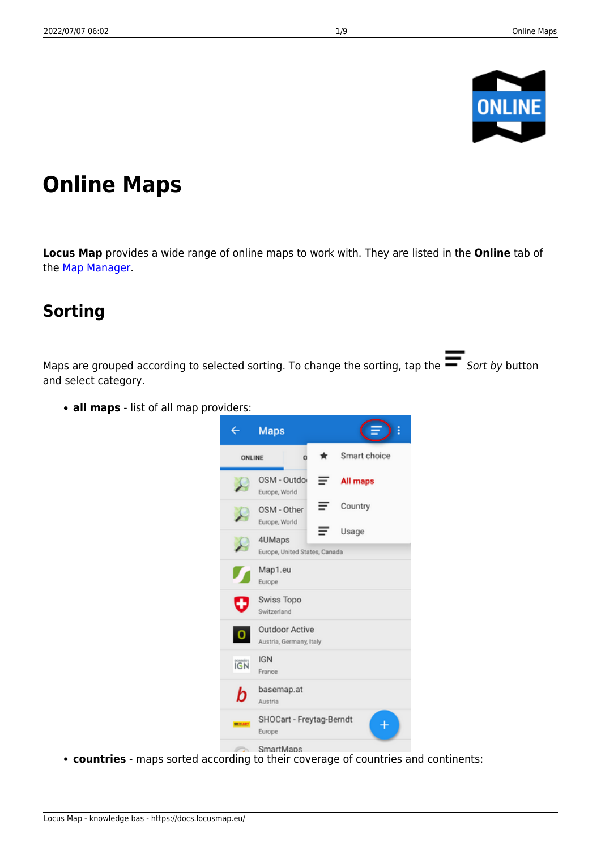

# **Online Maps**

**Locus Map** provides a wide range of online maps to work with. They are listed in the **Online** tab of the [Map Manager](https://docs.locusmap.eu/doku.php?id=manual:user_guide:maps_mmanager).

### **Sorting**

Maps are grouped according to selected sorting. To change the sorting, tap the  $\blacksquare$  Sort by button and select category.

**all maps** - list of all map providers:



**countries** - maps sorted according to their coverage of countries and continents: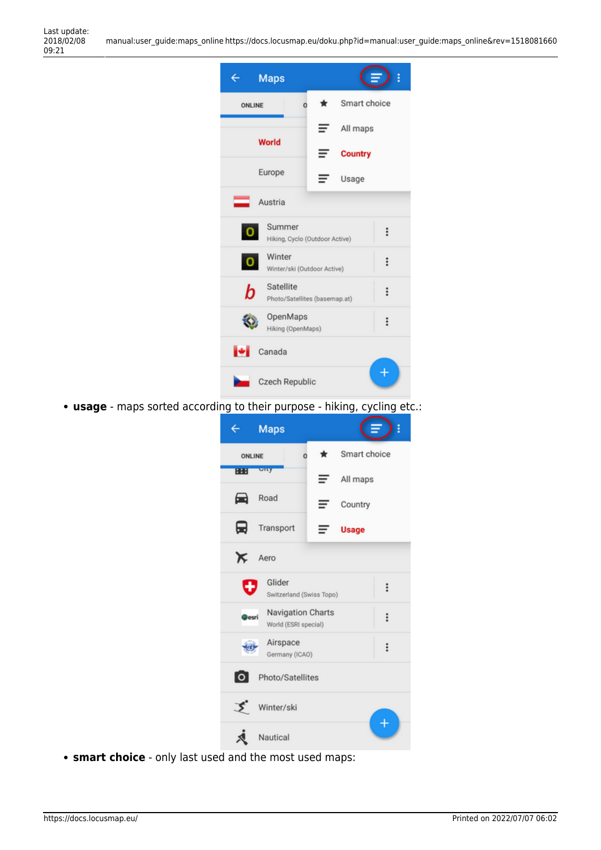| <b>Maps</b>                                                          |          | ŧ              |  |  |  |
|----------------------------------------------------------------------|----------|----------------|--|--|--|
| o<br><b>ONLINE</b>                                                   | *        | Smart choice   |  |  |  |
|                                                                      | All maps |                |  |  |  |
| World                                                                |          | <b>Country</b> |  |  |  |
| Europe                                                               |          | Usage          |  |  |  |
| Austria                                                              |          |                |  |  |  |
| Summer<br>$\mathbf{o}$<br>$\vdots$<br>Hiking, Cyclo (Outdoor Active) |          |                |  |  |  |
| Winter<br>$\mathbf{o}$<br>$\ddot{.}$<br>Winter/ski (Outdoor Active)  |          |                |  |  |  |
| Satellite<br>b<br>$\vdots$<br>Photo/Satellites (basemap.at)          |          |                |  |  |  |
| OpenMaps<br>$\vdots$<br>Hiking (OpenMaps)                            |          |                |  |  |  |
| Canada<br>н                                                          |          |                |  |  |  |
| Czech Republic                                                       |          |                |  |  |  |

**usage** - maps sorted according to their purpose - hiking, cycling etc.:

| ←                      | <b>Maps</b>                                                    |        |              | Ì        |  |
|------------------------|----------------------------------------------------------------|--------|--------------|----------|--|
| <b>ONLINE</b>          |                                                                | *<br>o | Smart choice |          |  |
| 88                     | <b>URY</b>                                                     | $=$    | All maps     |          |  |
| ▄                      | Road                                                           |        | Country      |          |  |
| ⊟                      | Transport                                                      | =      | <b>Usage</b> |          |  |
| ⋉                      | Aero                                                           |        |              |          |  |
| ÷                      | Glider<br>Switzerland (Swiss Topo)                             |        |              | $\vdots$ |  |
|                        | Navigation Charts<br>$\vdots$<br>lesri<br>World (ESRI special) |        |              |          |  |
|                        | Airspace<br>Germany (ICAO)                                     |        |              | ።        |  |
| ۱o<br>Photo/Satellites |                                                                |        |              |          |  |
| Winter/ski             |                                                                |        |              |          |  |
| Nautical               |                                                                |        |              |          |  |

**smart choice** - only last used and the most used maps: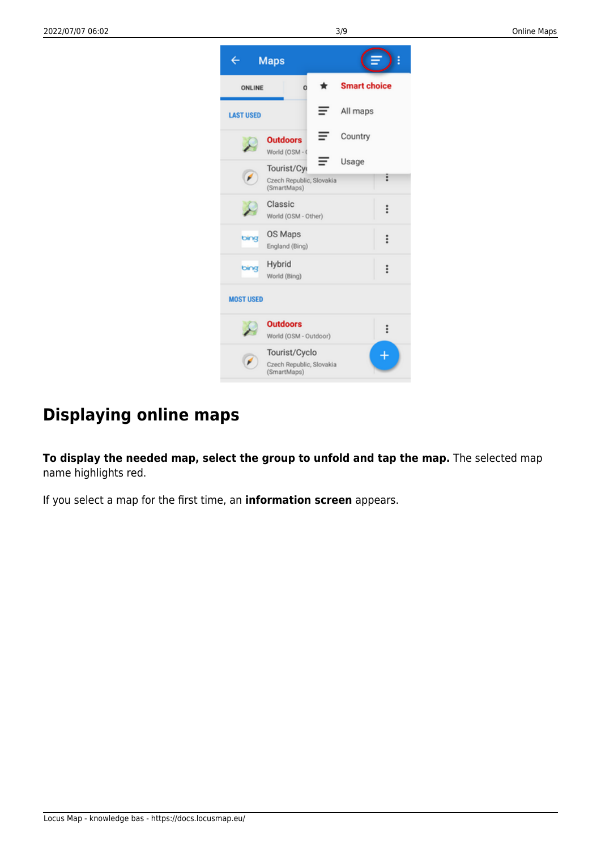

# **Displaying online maps**

**To display the needed map, select the group to unfold and tap the map.** The selected map name highlights red.

If you select a map for the first time, an **information screen** appears.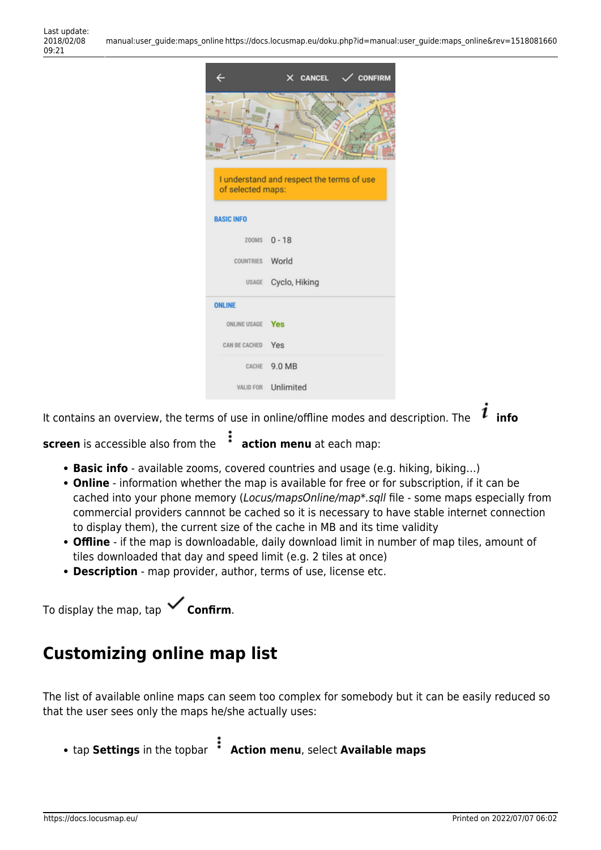|                   | X CANCEL<br><b>CONFIRM</b>                |
|-------------------|-------------------------------------------|
|                   |                                           |
| of selected maps: | I understand and respect the terms of use |
| <b>BASIC INFO</b> |                                           |
|                   | ZOOMS 0-18                                |
| COUNTRIES World   |                                           |
|                   | USAGE Cyclo, Hiking                       |
| <b>ONLINE</b>     |                                           |
| ONLINE USAGE Yes  |                                           |
| CAN BE CACHED Yes |                                           |
|                   | CACHE 9.0 MB                              |
|                   | VALID FOR Unlimited                       |

It contains an overview, the terms of use in online/offline modes and description. The  $\boldsymbol{i}$  info

**screen** is accessible also from the **action menu** at each map:

- **Basic info** available zooms, covered countries and usage (e.g. hiking, biking…)
- **Online** information whether the map is available for free or for subscription, if it can be cached into your phone memory (Locus/mapsOnline/map\*.sqll file - some maps especially from commercial providers cannnot be cached so it is necessary to have stable internet connection to display them), the current size of the cache in MB and its time validity
- **Offline** if the map is downloadable, daily download limit in number of map tiles, amount of tiles downloaded that day and speed limit (e.g. 2 tiles at once)
- **Description** map provider, author, terms of use, license etc.

To display the map, tap **Confirm**.

### **Customizing online map list**

The list of available online maps can seem too complex for somebody but it can be easily reduced so that the user sees only the maps he/she actually uses:

**• tap Settings** in the topbar *Action menu, select Available maps*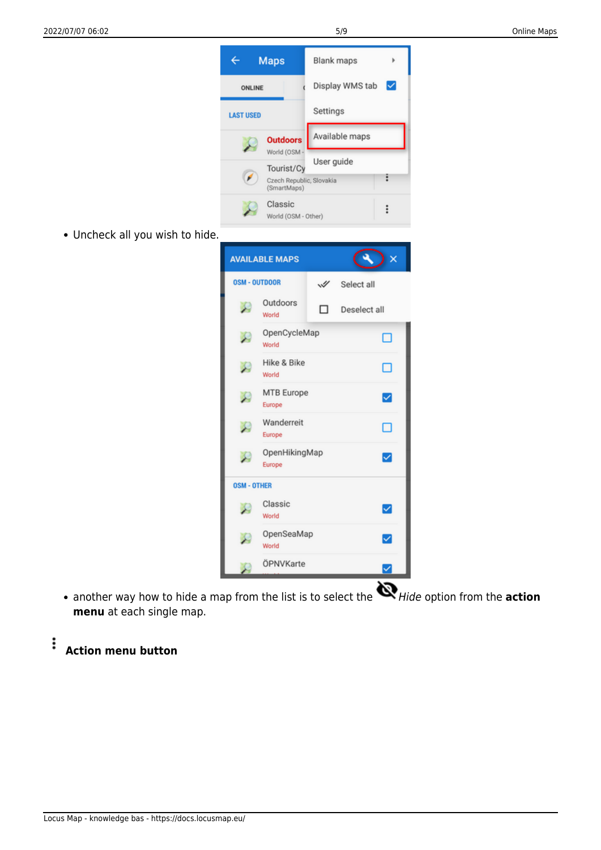

- Uncheck all you wish to hide.
- 

• another way how to hide a map from the list is to select the **N**Hide option from the **action menu** at each single map.

MTB Europe

Wanderreit

OpenHikingMap

Europe

Europe

Europe

Classic

OpenSeaMap

ÖPNVKarte

World

World

**OSM - OTHER** 

X

 $\overline{\smile}$ 

□

 $\overline{\mathbf{v}}$ 

☑

☑

✓

#### **Action menu button**

 $\vdots$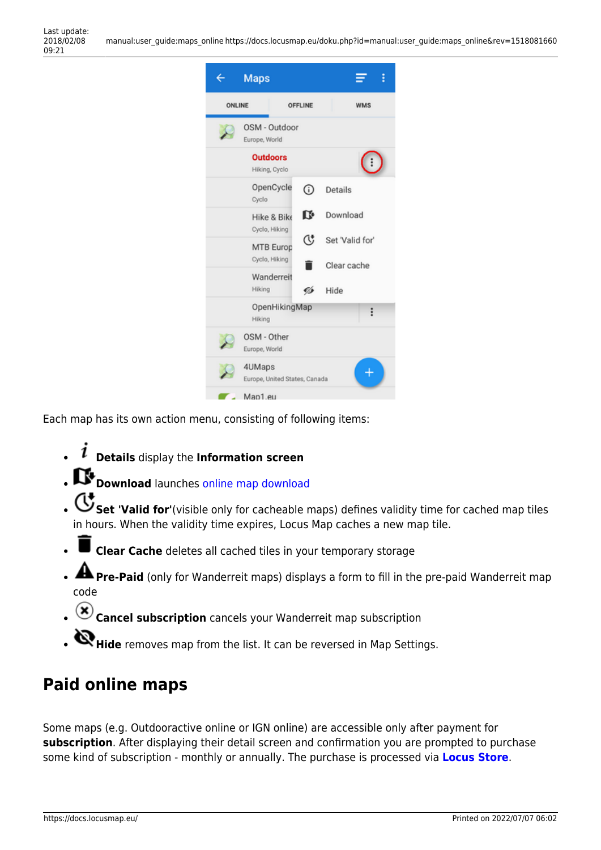

Each map has its own action menu, consisting of following items:

- **Details** display the **Information screen**
- **Download** launches [online map download](https://docs.locusmap.eu/doku.php?id=manual:user_guide:maps_download)
- Set 'Valid for'(visible only for cacheable maps) defines validity time for cached map tiles in hours. When the validity time expires, Locus Map caches a new map tile.
- **Clear Cache** deletes all cached tiles in your temporary storage
- **Pre-Paid** (only for Wanderreit maps) displays a form to fill in the pre-paid Wanderreit map code
- **Cancel subscription** cancels your Wanderreit map subscription
- **Hide** removes map from the list. It can be reversed in Map Settings.

# **Paid online maps**

Some maps (e.g. Outdooractive online or IGN online) are accessible only after payment for **subscription**. After displaying their detail screen and confirmation you are prompted to purchase some kind of subscription - monthly or annually. The purchase is processed via **[Locus Store](https://docs.locusmap.eu/doku.php?id=manual:user_guide:locus_store)**.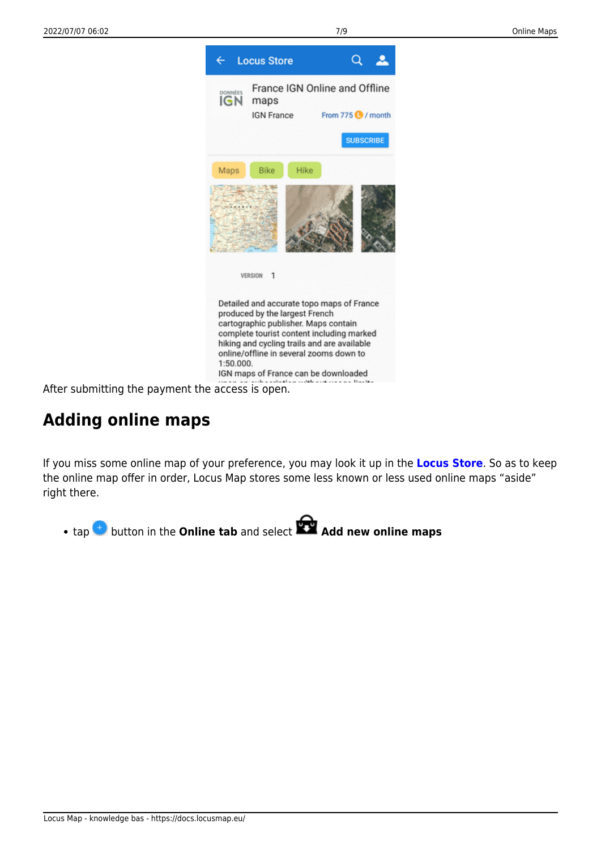

After submitting the payment the access is open.

# **Adding online maps**

If you miss some online map of your preference, you may look it up in the **[Locus Store](https://docs.locusmap.eu/doku.php?id=manual:user_guide:locus_store)**. So as to keep the online map offer in order, Locus Map stores some less known or less used online maps "aside" right there.

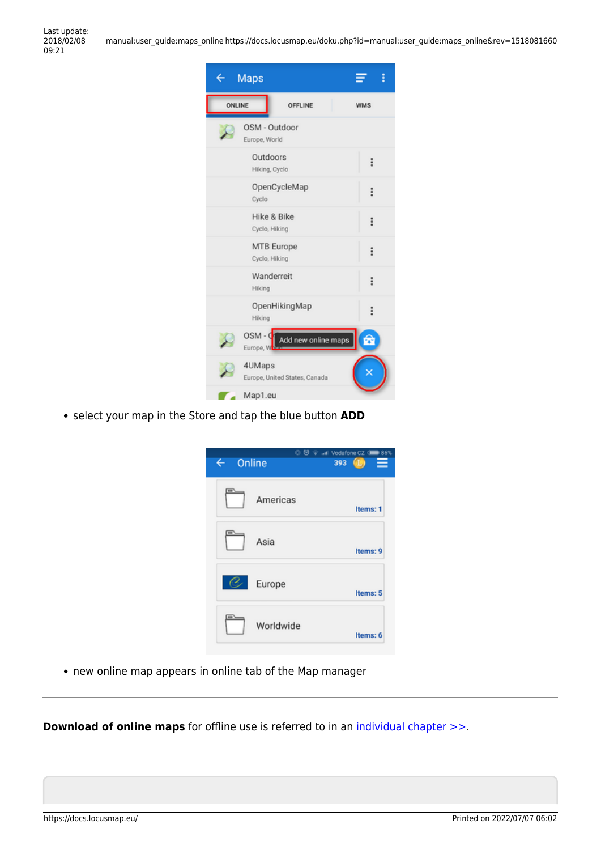| Maps                                          | i          |
|-----------------------------------------------|------------|
| ONLINE<br><b>OFFLINE</b>                      | <b>WMS</b> |
| OSM - Outdoor<br>Europe, World                |            |
| Outdoors<br>Hiking, Cyclo                     | ።          |
| OpenCycleMap<br>Cyclo                         | $\vdots$   |
| Hike & Bike<br>Cyclo, Hiking                  | $\vdots$   |
| <b>MTB</b> Europe<br>Cyclo, Hiking            | $\vdots$   |
| Wanderreit<br>Hiking                          | $\vdots$   |
| OpenHikingMap<br>Hiking                       | $\vdots$   |
| $OSM - C$<br>Add new online maps<br>Europe, W | G          |
| 4UMaps<br>Europe, United States, Canada       |            |
| Map1.eu                                       |            |

select your map in the Store and tap the blue button **ADD**



new online map appears in online tab of the Map manager

**Download of online maps** for offline use is referred to in an [individual chapter >>](https://docs.locusmap.eu/doku.php?id=manual:user_guide:maps_download).